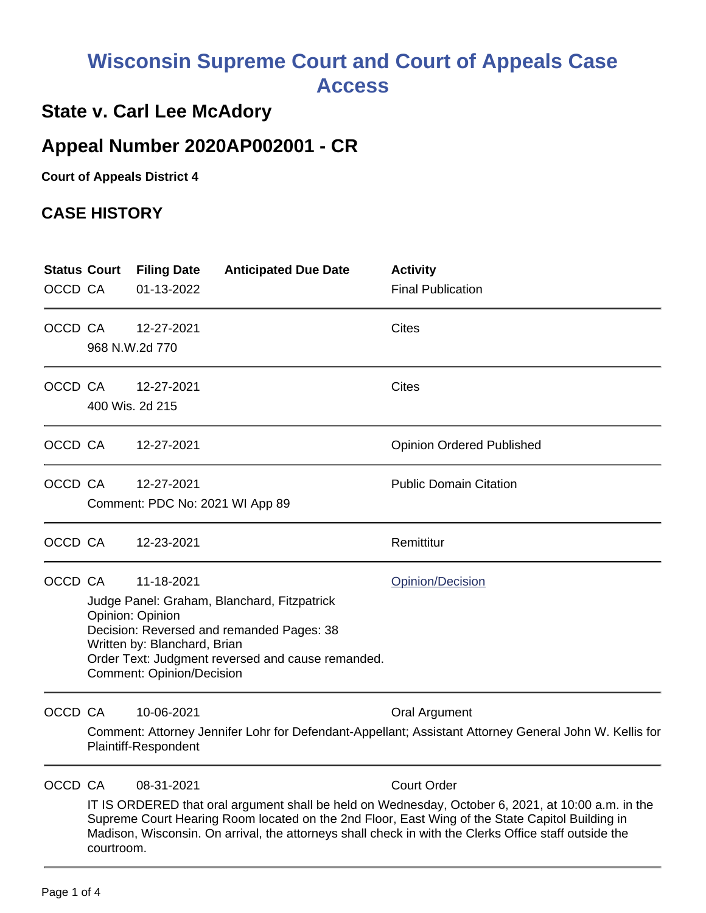## **Wisconsin Supreme Court and Court of Appeals Case Access**

#### **State v. Carl Lee McAdory**

### **Appeal Number 2020AP002001 - CR**

**Court of Appeals District 4**

#### **CASE HISTORY**

|         | <b>Status Court</b>                                                                                                                                                                                                                                                                                                          | <b>Filing Date</b>                                            | <b>Anticipated Due Date</b>                       | <b>Activity</b>                  |  |  |  |
|---------|------------------------------------------------------------------------------------------------------------------------------------------------------------------------------------------------------------------------------------------------------------------------------------------------------------------------------|---------------------------------------------------------------|---------------------------------------------------|----------------------------------|--|--|--|
| OCCD CA |                                                                                                                                                                                                                                                                                                                              | 01-13-2022                                                    |                                                   | <b>Final Publication</b>         |  |  |  |
| OCCD CA |                                                                                                                                                                                                                                                                                                                              | 12-27-2021                                                    |                                                   | <b>Cites</b>                     |  |  |  |
|         | 968 N.W.2d 770                                                                                                                                                                                                                                                                                                               |                                                               |                                                   |                                  |  |  |  |
| OCCD CA |                                                                                                                                                                                                                                                                                                                              | 12-27-2021                                                    |                                                   | <b>Cites</b>                     |  |  |  |
|         | 400 Wis. 2d 215                                                                                                                                                                                                                                                                                                              |                                                               |                                                   |                                  |  |  |  |
| OCCD CA |                                                                                                                                                                                                                                                                                                                              | 12-27-2021                                                    |                                                   | <b>Opinion Ordered Published</b> |  |  |  |
| OCCD CA |                                                                                                                                                                                                                                                                                                                              | 12-27-2021                                                    |                                                   | <b>Public Domain Citation</b>    |  |  |  |
|         | Comment: PDC No: 2021 WI App 89                                                                                                                                                                                                                                                                                              |                                                               |                                                   |                                  |  |  |  |
| OCCD CA |                                                                                                                                                                                                                                                                                                                              | 12-23-2021                                                    |                                                   | Remittitur                       |  |  |  |
| OCCD CA |                                                                                                                                                                                                                                                                                                                              | 11-18-2021                                                    |                                                   | Opinion/Decision                 |  |  |  |
|         | Judge Panel: Graham, Blanchard, Fitzpatrick                                                                                                                                                                                                                                                                                  |                                                               |                                                   |                                  |  |  |  |
|         |                                                                                                                                                                                                                                                                                                                              | Opinion: Opinion<br>Decision: Reversed and remanded Pages: 38 |                                                   |                                  |  |  |  |
|         |                                                                                                                                                                                                                                                                                                                              | Written by: Blanchard, Brian                                  |                                                   |                                  |  |  |  |
|         |                                                                                                                                                                                                                                                                                                                              | <b>Comment: Opinion/Decision</b>                              | Order Text: Judgment reversed and cause remanded. |                                  |  |  |  |
| OCCD CA |                                                                                                                                                                                                                                                                                                                              | 10-06-2021                                                    |                                                   | Oral Argument                    |  |  |  |
|         | Comment: Attorney Jennifer Lohr for Defendant-Appellant; Assistant Attorney General John W. Kellis for<br>Plaintiff-Respondent                                                                                                                                                                                               |                                                               |                                                   |                                  |  |  |  |
| OCCD CA |                                                                                                                                                                                                                                                                                                                              | 08-31-2021                                                    |                                                   | <b>Court Order</b>               |  |  |  |
|         | IT IS ORDERED that oral argument shall be held on Wednesday, October 6, 2021, at 10:00 a.m. in the<br>Supreme Court Hearing Room located on the 2nd Floor, East Wing of the State Capitol Building in<br>Madison, Wisconsin. On arrival, the attorneys shall check in with the Clerks Office staff outside the<br>courtroom. |                                                               |                                                   |                                  |  |  |  |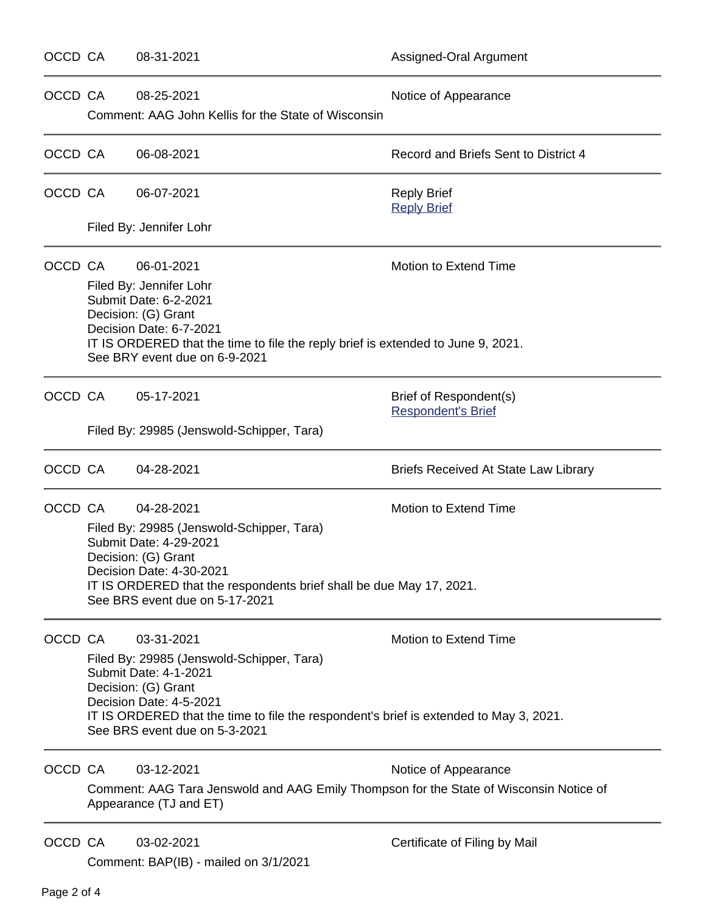OCCD CA  $08-25-2021$  Notice of Appearance Comment: AAG John Kellis for the State of Wisconsin OCCD CA 06-08-2021 **DETER** 1 **Record and Briefs Sent to District 4** Filed By: Jennifer Lohr Filed By: Jennifer Lohr Submit Date: 6-2-2021 Decision: (G) Grant Decision Date: 6-7-2021 See BRY event due on 6-9-2021

Comment: BAP(IB) - mailed on 3/1/2021

# OCCD CA 06-07-2021 and the control of the Reply Brief [Reply Brief](https://acefiling.wicourts.gov/document/eFiled/2020AP002001/375599) OCCD CA  $06-01-2021$  Motion to Extend Time IT IS ORDERED that the time to file the reply brief is extended to June 9, 2021. OCCD CA  $0.5-17-2021$  Brief of Respondent(s) [Respondent's Brief](https://acefiling.wicourts.gov/document/eFiled/2020AP002001/368748) Filed By: 29985 (Jenswold-Schipper, Tara) OCCD CA 04-28-2021 **Briefs Received At State Law Library** OCCD CA 04-28-2021 Motion to Extend Time Filed By: 29985 (Jenswold-Schipper, Tara) Submit Date: 4-29-2021 Decision: (G) Grant Decision Date: 4-30-2021 IT IS ORDERED that the respondents brief shall be due May 17, 2021. See BRS event due on 5-17-2021 OCCD CA 03-31-2021 Motion to Extend Time Filed By: 29985 (Jenswold-Schipper, Tara) Submit Date: 4-1-2021 Decision: (G) Grant Decision Date: 4-5-2021 IT IS ORDERED that the time to file the respondent's brief is extended to May 3, 2021. See BRS event due on 5-3-2021 OCCD CA  $03-12-2021$  Notice of Appearance Comment: AAG Tara Jenswold and AAG Emily Thompson for the State of Wisconsin Notice of Appearance (TJ and ET) OCCD CA 03-02-2021 Certificate of Filing by Mail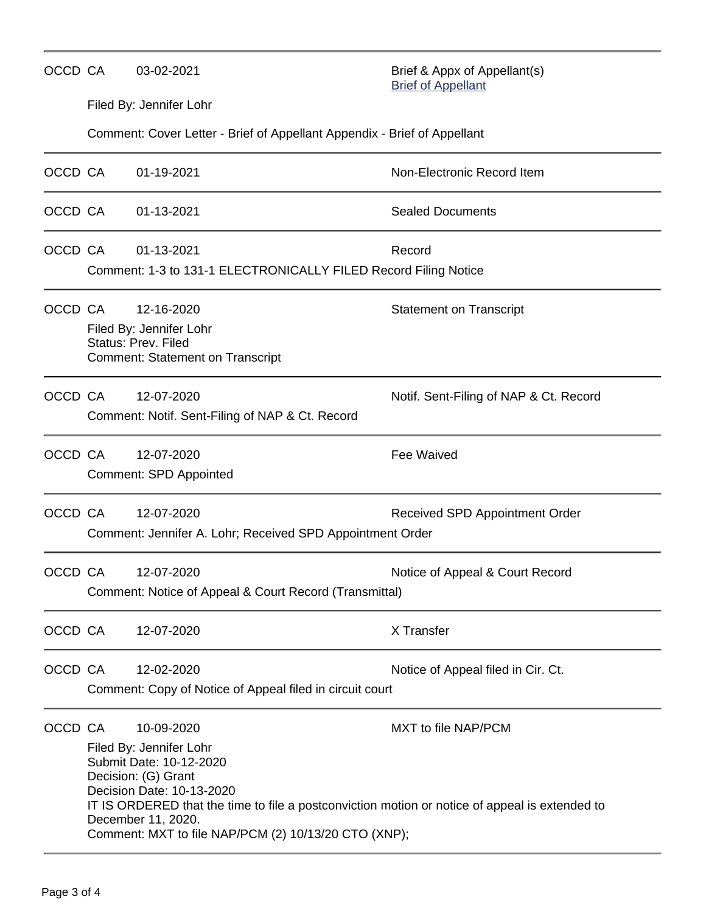| OCCD CA | 03-02-2021                                                                                                                                                                                                                                                                                           | Brief & Appx of Appellant(s)<br><b>Brief of Appellant</b> |  |  |  |
|---------|------------------------------------------------------------------------------------------------------------------------------------------------------------------------------------------------------------------------------------------------------------------------------------------------------|-----------------------------------------------------------|--|--|--|
|         | Filed By: Jennifer Lohr                                                                                                                                                                                                                                                                              |                                                           |  |  |  |
|         | Comment: Cover Letter - Brief of Appellant Appendix - Brief of Appellant                                                                                                                                                                                                                             |                                                           |  |  |  |
| OCCD CA | 01-19-2021                                                                                                                                                                                                                                                                                           | Non-Electronic Record Item                                |  |  |  |
| OCCD CA | 01-13-2021                                                                                                                                                                                                                                                                                           | <b>Sealed Documents</b>                                   |  |  |  |
| OCCD CA | 01-13-2021<br>Comment: 1-3 to 131-1 ELECTRONICALLY FILED Record Filing Notice                                                                                                                                                                                                                        | Record                                                    |  |  |  |
| OCCD CA | 12-16-2020<br>Filed By: Jennifer Lohr<br><b>Status: Prev. Filed</b><br><b>Comment: Statement on Transcript</b>                                                                                                                                                                                       | <b>Statement on Transcript</b>                            |  |  |  |
| OCCD CA | 12-07-2020<br>Notif. Sent-Filing of NAP & Ct. Record<br>Comment: Notif. Sent-Filing of NAP & Ct. Record                                                                                                                                                                                              |                                                           |  |  |  |
| OCCD CA | 12-07-2020<br><b>Comment: SPD Appointed</b>                                                                                                                                                                                                                                                          | <b>Fee Waived</b>                                         |  |  |  |
| OCCD CA | 12-07-2020<br>Comment: Jennifer A. Lohr; Received SPD Appointment Order                                                                                                                                                                                                                              | Received SPD Appointment Order                            |  |  |  |
| OCCD CA | 12-07-2020<br>Comment: Notice of Appeal & Court Record (Transmittal)                                                                                                                                                                                                                                 | Notice of Appeal & Court Record                           |  |  |  |
| OCCD CA | 12-07-2020                                                                                                                                                                                                                                                                                           | X Transfer                                                |  |  |  |
| OCCD CA | 12-02-2020<br>Comment: Copy of Notice of Appeal filed in circuit court                                                                                                                                                                                                                               | Notice of Appeal filed in Cir. Ct.                        |  |  |  |
| OCCD CA | 10-09-2020<br>Filed By: Jennifer Lohr<br>Submit Date: 10-12-2020<br>Decision: (G) Grant<br>Decision Date: 10-13-2020<br>IT IS ORDERED that the time to file a postconviction motion or notice of appeal is extended to<br>December 11, 2020.<br>Comment: MXT to file NAP/PCM (2) 10/13/20 CTO (XNP); | MXT to file NAP/PCM                                       |  |  |  |